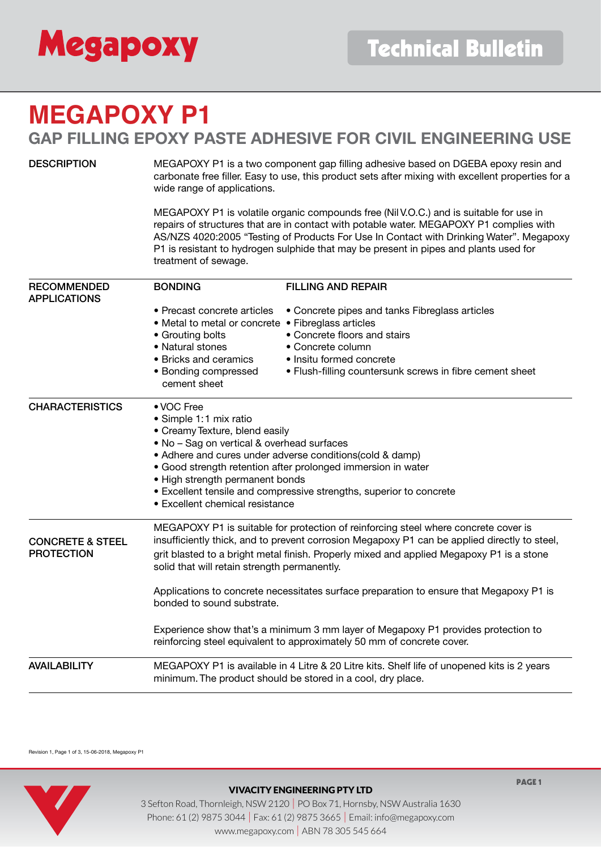

# **MEGAPOXY P1 GAP FILLING EPOXY PASTE ADHESIVE FOR CIVIL ENGINEERING USE**

DESCRIPTION MEGAPOXY P1 is a two component gap filling adhesive based on DGEBA epoxy resin and carbonate free filler. Easy to use, this product sets after mixing with excellent properties for a wide range of applications.

> MEGAPOXY P1 is volatile organic compounds free (Nil V.O.C.) and is suitable for use in repairs of structures that are in contact with potable water. MEGAPOXY P1 complies with AS/NZS 4020:2005 "Testing of Products For Use In Contact with Drinking Water". Megapoxy P1 is resistant to hydrogen sulphide that may be present in pipes and plants used for treatment of sewage.

| <b>RECOMMENDED</b><br><b>APPLICATIONS</b> | <b>BONDING</b>                                                                                                                                             | <b>FILLING AND REPAIR</b>                                                                                                                                                           |  |  |
|-------------------------------------------|------------------------------------------------------------------------------------------------------------------------------------------------------------|-------------------------------------------------------------------------------------------------------------------------------------------------------------------------------------|--|--|
|                                           | • Precast concrete articles<br>• Metal to metal or concrete • Fibreglass articles                                                                          | • Concrete pipes and tanks Fibreglass articles                                                                                                                                      |  |  |
|                                           | • Grouting bolts                                                                                                                                           | • Concrete floors and stairs                                                                                                                                                        |  |  |
|                                           | • Natural stones                                                                                                                                           | • Concrete column                                                                                                                                                                   |  |  |
|                                           | • Bricks and ceramics                                                                                                                                      | • Insitu formed concrete                                                                                                                                                            |  |  |
|                                           | • Bonding compressed<br>cement sheet                                                                                                                       | • Flush-filling countersunk screws in fibre cement sheet                                                                                                                            |  |  |
| <b>CHARACTERISTICS</b>                    | • VOC Free                                                                                                                                                 |                                                                                                                                                                                     |  |  |
|                                           | • Simple 1:1 mix ratio                                                                                                                                     |                                                                                                                                                                                     |  |  |
|                                           | • Creamy Texture, blend easily                                                                                                                             |                                                                                                                                                                                     |  |  |
|                                           | . No - Sag on vertical & overhead surfaces                                                                                                                 |                                                                                                                                                                                     |  |  |
|                                           | • Adhere and cures under adverse conditions(cold & damp)<br>• Good strength retention after prolonged immersion in water                                   |                                                                                                                                                                                     |  |  |
|                                           | • High strength permanent bonds                                                                                                                            |                                                                                                                                                                                     |  |  |
|                                           | • Excellent tensile and compressive strengths, superior to concrete                                                                                        |                                                                                                                                                                                     |  |  |
|                                           | • Excellent chemical resistance                                                                                                                            |                                                                                                                                                                                     |  |  |
| <b>CONCRETE &amp; STEEL</b>               |                                                                                                                                                            | MEGAPOXY P1 is suitable for protection of reinforcing steel where concrete cover is<br>insufficiently thick, and to prevent corrosion Megapoxy P1 can be applied directly to steel, |  |  |
| <b>PROTECTION</b>                         | grit blasted to a bright metal finish. Properly mixed and applied Megapoxy P1 is a stone<br>solid that will retain strength permanently.                   |                                                                                                                                                                                     |  |  |
|                                           | Applications to concrete necessitates surface preparation to ensure that Megapoxy P1 is<br>bonded to sound substrate.                                      |                                                                                                                                                                                     |  |  |
|                                           |                                                                                                                                                            | Experience show that's a minimum 3 mm layer of Megapoxy P1 provides protection to<br>reinforcing steel equivalent to approximately 50 mm of concrete cover.                         |  |  |
| <b>AVAILABILITY</b>                       | MEGAPOXY P1 is available in 4 Litre & 20 Litre kits. Shelf life of unopened kits is 2 years<br>minimum. The product should be stored in a cool, dry place. |                                                                                                                                                                                     |  |  |

Revision 1, Page 1 of 3, 15-06-2018, Megapoxy P1



### VIVACITY ENGINEERING PTY LTD

3 Sefton Road, Thornleigh, NSW 2120 | PO Box 71, Hornsby, NSW Australia 1630 Phone: 61 (2) 9875 3044 | Fax: 61 (2) 9875 3665 | Email: info@megapoxy.com www.megapoxy.com | ABN 78 305 545 664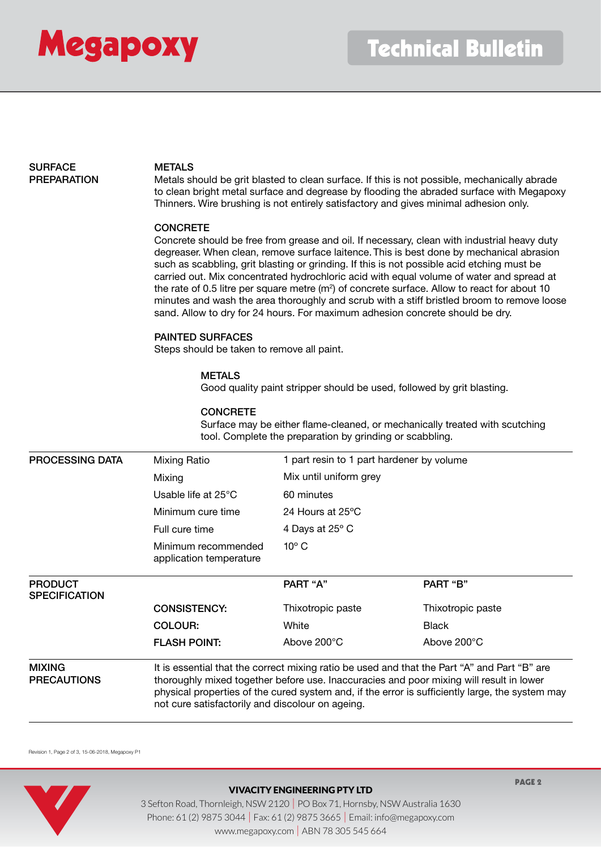

# SURFACE METALS

PREPARATION Metals should be grit blasted to clean surface. If this is not possible, mechanically abrade to clean bright metal surface and degrease by flooding the abraded surface with Megapoxy Thinners. Wire brushing is not entirely satisfactory and gives minimal adhesion only.

#### **CONCRETE**

Concrete should be free from grease and oil. If necessary, clean with industrial heavy duty degreaser. When clean, remove surface laitence. This is best done by mechanical abrasion such as scabbling, grit blasting or grinding. If this is not possible acid etching must be carried out. Mix concentrated hydrochloric acid with equal volume of water and spread at the rate of 0.5 litre per square metre (m<sup>2</sup>) of concrete surface. Allow to react for about 10 minutes and wash the area thoroughly and scrub with a stiff bristled broom to remove loose sand. Allow to dry for 24 hours. For maximum adhesion concrete should be dry.

#### PAINTED SURFACES

Steps should be taken to remove all paint.

#### 3 Sefton Road, Thornleigh, NSW 2120 | PO Box 71, Hornsby, NSW Australia 1630 **METALS**

 $P$ Good quality paint stripper should be used, followed by grit blasting.

#### **CONCRETE**

Surface may be either flame-cleaned, or mechanically treated with scutching tool. Complete the preparation by grinding or scabbling.

| <b>PROCESSING DATA</b>                 | Mixing Ratio                                                                                                                                                                                                                                                                                                                                   | 1 part resin to 1 part hardener by volume |                   |
|----------------------------------------|------------------------------------------------------------------------------------------------------------------------------------------------------------------------------------------------------------------------------------------------------------------------------------------------------------------------------------------------|-------------------------------------------|-------------------|
|                                        | Mixing                                                                                                                                                                                                                                                                                                                                         | Mix until uniform grey                    |                   |
|                                        | Usable life at $25^{\circ}$ C                                                                                                                                                                                                                                                                                                                  | 60 minutes                                |                   |
|                                        | Minimum cure time                                                                                                                                                                                                                                                                                                                              | 24 Hours at 25°C                          |                   |
|                                        | Full cure time                                                                                                                                                                                                                                                                                                                                 | 4 Days at 25° C                           |                   |
|                                        | Minimum recommended<br>application temperature                                                                                                                                                                                                                                                                                                 | $10^{\circ}$ C                            |                   |
| <b>PRODUCT</b><br><b>SPECIFICATION</b> |                                                                                                                                                                                                                                                                                                                                                | PART "A"                                  | PART "B"          |
|                                        | <b>CONSISTENCY:</b>                                                                                                                                                                                                                                                                                                                            | Thixotropic paste                         | Thixotropic paste |
|                                        | COLOUR:                                                                                                                                                                                                                                                                                                                                        | White                                     | <b>Black</b>      |
|                                        | <b>FLASH POINT:</b>                                                                                                                                                                                                                                                                                                                            | Above 200°C                               | Above 200°C       |
| <b>MIXING</b><br><b>PRECAUTIONS</b>    | It is essential that the correct mixing ratio be used and that the Part "A" and Part "B" are<br>thoroughly mixed together before use. Inaccuracies and poor mixing will result in lower<br>physical properties of the cured system and, if the error is sufficiently large, the system may<br>not cure satisfactorily and discolour on ageing. |                                           |                   |

Revision 1, Page 2 of 3, 15-06-2018, Megapoxy P1



#### VIVACITY ENGINEERING PTY LTD

PAGE 2

3 Sefton Road, Thornleigh, NSW 2120 | PO Box 71, Hornsby, NSW Australia 1630 Phone: 61 (2) 9875 3044 | Fax: 61 (2) 9875 3665 | Email: info@megapoxy.com www.megapoxy.com | ABN 78 305 545 664